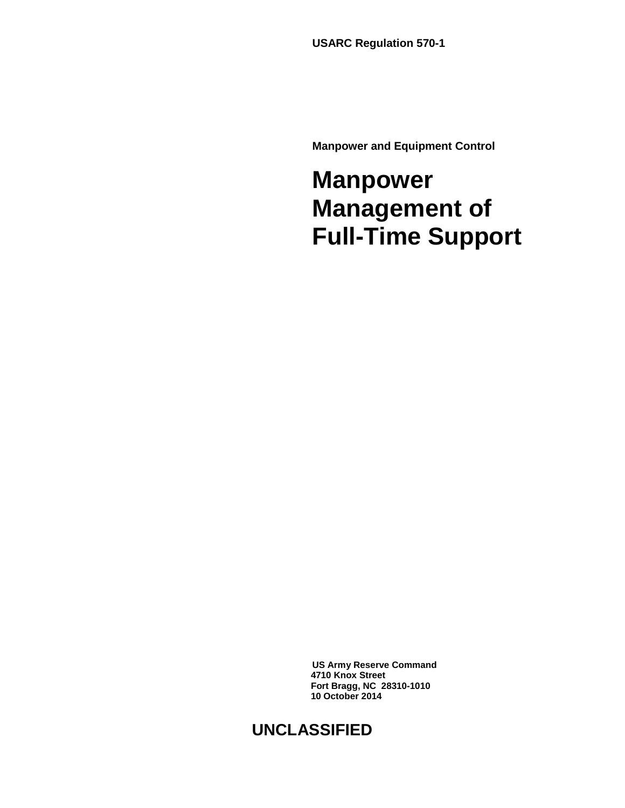**USARC Regulation 570-1**

**Manpower and Equipment Control**

## **Manpower Management of Full-Time Support**

**US Army Reserve Command 4710 Knox Street Fort Bragg, NC 28310-1010 10 October 2014**

### **UNCLASSIFIED**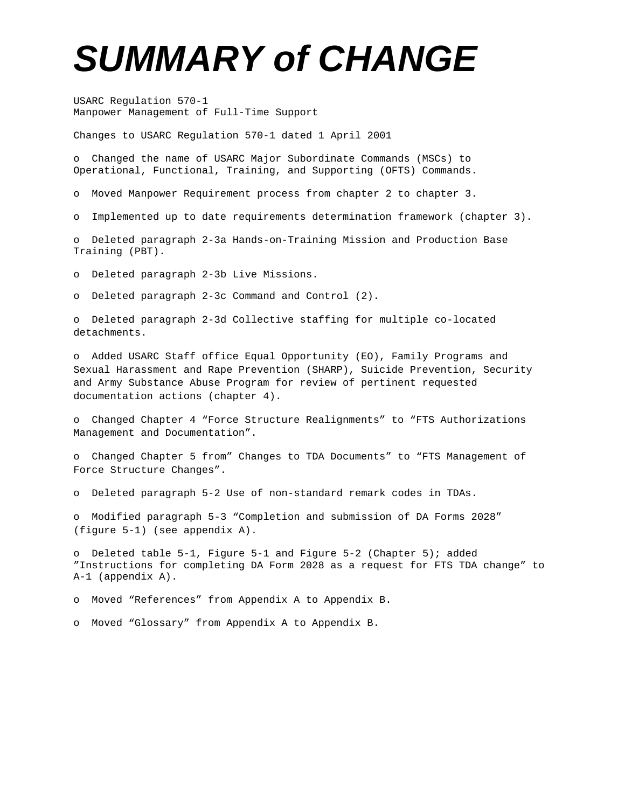# *SUMMARY of CHANGE*

USARC Regulation 570-1 Manpower Management of Full-Time Support

Changes to USARC Regulation 570-1 dated 1 April 2001

o Changed the name of USARC Major Subordinate Commands (MSCs) to Operational, Functional, Training, and Supporting (OFTS) Commands.

o Moved Manpower Requirement process from chapter 2 to chapter 3.

o Implemented up to date requirements determination framework (chapter 3).

o Deleted paragraph 2-3a Hands-on-Training Mission and Production Base Training (PBT).

o Deleted paragraph 2-3b Live Missions.

o Deleted paragraph 2-3c Command and Control (2).

o Deleted paragraph 2-3d Collective staffing for multiple co-located detachments.

o Added USARC Staff office Equal Opportunity (EO), Family Programs and Sexual Harassment and Rape Prevention (SHARP), Suicide Prevention, Security and Army Substance Abuse Program for review of pertinent requested documentation actions (chapter 4).

o Changed Chapter 4 "Force Structure Realignments" to "FTS Authorizations Management and Documentation".

o Changed Chapter 5 from" Changes to TDA Documents" to "FTS Management of Force Structure Changes".

o Deleted paragraph 5-2 Use of non-standard remark codes in TDAs.

o Modified paragraph 5-3 "Completion and submission of DA Forms 2028" (figure 5-1) (see appendix A).

o Deleted table 5-1, Figure 5-1 and Figure 5-2 (Chapter 5); added "Instructions for completing DA Form 2028 as a request for FTS TDA change" to A-1 (appendix A).

o Moved "References" from Appendix A to Appendix B.

o Moved "Glossary" from Appendix A to Appendix B.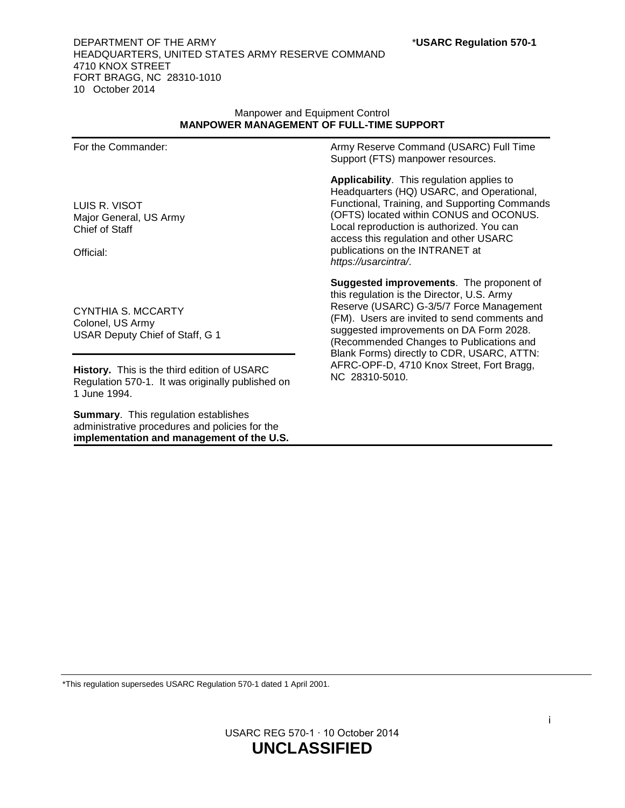#### DEPARTMENT OF THE ARMY \***USARC Regulation 570-1** HEADQUARTERS, UNITED STATES ARMY RESERVE COMMAND 4710 KNOX STREET FORT BRAGG, NC 28310-1010 10 October 2014

#### Manpower and Equipment Control **MANPOWER MANAGEMENT OF FULL-TIME SUPPORT**

For the Commander:

LUIS R. VISOT Major General, US Army Chief of Staff

Official:

CYNTHIA S. MCCARTY Colonel, US Army USAR Deputy Chief of Staff, G 1

**History.** This is the third edition of USARC Regulation 570-1. It was originally published on 1 June 1994.

**Summary**. This regulation establishes administrative procedures and policies for the **implementation and management of the U.S.** Army Reserve Command (USARC) Full Time Support (FTS) manpower resources.

**Applicability**. This regulation applies to Headquarters (HQ) USARC, and Operational, Functional, Training, and Supporting Commands (OFTS) located within CONUS and OCONUS. Local reproduction is authorized. You can access this regulation and other USARC publications on the INTRANET at *https://usarcintra/*.

**Suggested improvements**. The proponent of this regulation is the Director, U.S. Army Reserve (USARC) G-3/5/7 Force Management (FM). Users are invited to send comments and suggested improvements on DA Form 2028. (Recommended Changes to Publications and Blank Forms) directly to CDR, USARC, ATTN: AFRC-OPF-D, 4710 Knox Street, Fort Bragg, NC 28310-5010.

\*This regulation supersedes USARC Regulation 570-1 dated 1 April 2001.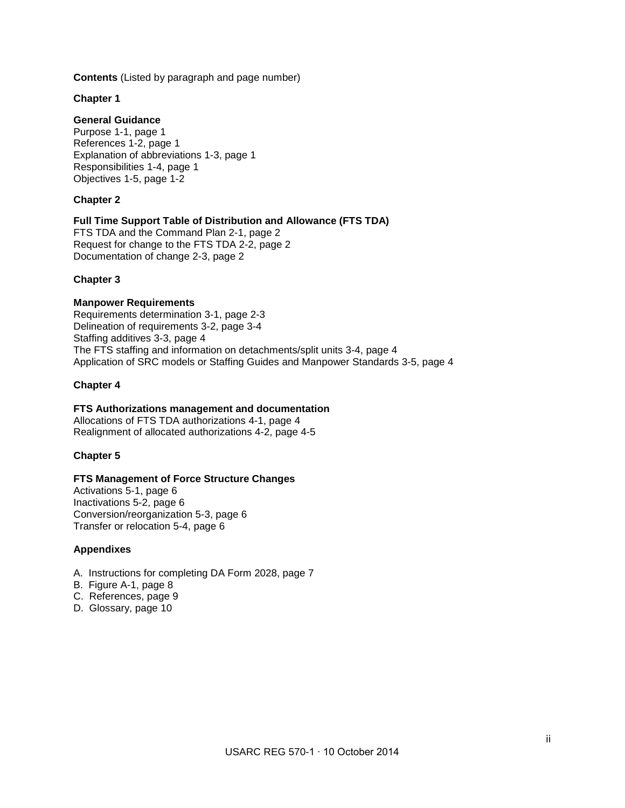**Contents** (Listed by paragraph and page number)

#### **Chapter 1**

#### **General Guidance**

Purpose 1-1, page 1 References 1-2, page 1 Explanation of abbreviations 1-3, page 1 Responsibilities 1-4, page 1 Objectives 1-5, page 1-2

#### **Chapter 2**

#### **Full Time Support Table of Distribution and Allowance (FTS TDA)**

FTS TDA and the Command Plan 2-1, page 2 Request for change to the FTS TDA 2-2, page 2 Documentation of change 2-3, page 2

#### **Chapter 3**

#### **Manpower Requirements**

Requirements determination 3-1, page 2-3 Delineation of requirements 3-2, page 3-4 Staffing additives 3-3, page 4 The FTS staffing and information on detachments/split units 3-4, page 4 Application of SRC models or Staffing Guides and Manpower Standards 3-5, page 4

#### **Chapter 4**

#### **FTS Authorizations management and documentation**

Allocations of FTS TDA authorizations 4-1, page 4 Realignment of allocated authorizations 4-2, page 4-5

#### **Chapter 5**

#### **FTS Management of Force Structure Changes**

Activations 5-1, page 6 Inactivations 5-2, page 6 Conversion/reorganization 5-3, page 6 Transfer or relocation 5-4, page 6

#### **Appendixes**

- A. Instructions for completing DA Form 2028, page 7
- B. Figure A-1, page 8
- C. References, page 9
- D. Glossary, page 10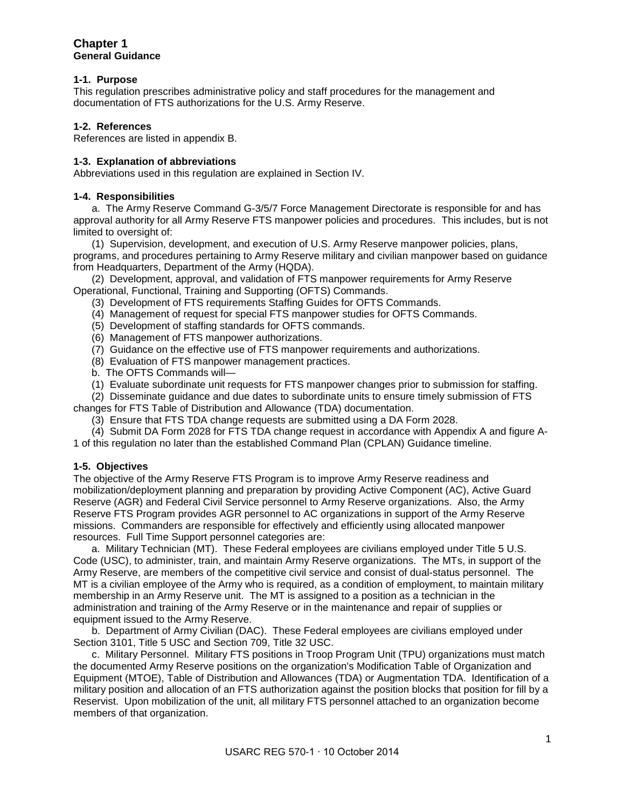#### **Chapter 1 General Guidance**

#### **1-1. Purpose**

This regulation prescribes administrative policy and staff procedures for the management and documentation of FTS authorizations for the U.S. Army Reserve.

#### **1-2. References**

References are listed in appendix B.

#### **1-3. Explanation of abbreviations**

Abbreviations used in this regulation are explained in Section IV.

#### **1-4. Responsibilities**

a. The Army Reserve Command G-3/5/7 Force Management Directorate is responsible for and has approval authority for all Army Reserve FTS manpower policies and procedures. This includes, but is not limited to oversight of:

 (1) Supervision, development, and execution of U.S. Army Reserve manpower policies, plans, programs, and procedures pertaining to Army Reserve military and civilian manpower based on guidance from Headquarters, Department of the Army (HQDA).

(2) Development, approval, and validation of FTS manpower requirements for Army Reserve Operational, Functional, Training and Supporting (OFTS) Commands.

- (3) Development of FTS requirements Staffing Guides for OFTS Commands.
- (4) Management of request for special FTS manpower studies for OFTS Commands.
- (5) Development of staffing standards for OFTS commands.
- (6) Management of FTS manpower authorizations.
- (7) Guidance on the effective use of FTS manpower requirements and authorizations.
- (8) Evaluation of FTS manpower management practices.
- b. The OFTS Commands will—
- (1) Evaluate subordinate unit requests for FTS manpower changes prior to submission for staffing.

 (2) Disseminate guidance and due dates to subordinate units to ensure timely submission of FTS changes for FTS Table of Distribution and Allowance (TDA) documentation.

- (3) Ensure that FTS TDA change requests are submitted using a DA Form 2028.
- (4) Submit DA Form 2028 for FTS TDA change request in accordance with Appendix A and figure A-

1 of this regulation no later than the established Command Plan (CPLAN) Guidance timeline.

#### **1-5. Objectives**

The objective of the Army Reserve FTS Program is to improve Army Reserve readiness and mobilization/deployment planning and preparation by providing Active Component (AC), Active Guard Reserve (AGR) and Federal Civil Service personnel to Army Reserve organizations. Also, the Army Reserve FTS Program provides AGR personnel to AC organizations in support of the Army Reserve missions. Commanders are responsible for effectively and efficiently using allocated manpower resources. Full Time Support personnel categories are:

 a. Military Technician (MT). These Federal employees are civilians employed under Title 5 U.S. Code (USC), to administer, train, and maintain Army Reserve organizations. The MTs, in support of the Army Reserve, are members of the competitive civil service and consist of dual-status personnel. The MT is a civilian employee of the Army who is required, as a condition of employment, to maintain military membership in an Army Reserve unit. The MT is assigned to a position as a technician in the administration and training of the Army Reserve or in the maintenance and repair of supplies or equipment issued to the Army Reserve.

 b. Department of Army Civilian (DAC). These Federal employees are civilians employed under Section 3101, Title 5 USC and Section 709, Title 32 USC.

 c. Military Personnel. Military FTS positions in Troop Program Unit (TPU) organizations must match the documented Army Reserve positions on the organization's Modification Table of Organization and Equipment (MTOE), Table of Distribution and Allowances (TDA) or Augmentation TDA. Identification of a military position and allocation of an FTS authorization against the position blocks that position for fill by a Reservist. Upon mobilization of the unit, all military FTS personnel attached to an organization become members of that organization.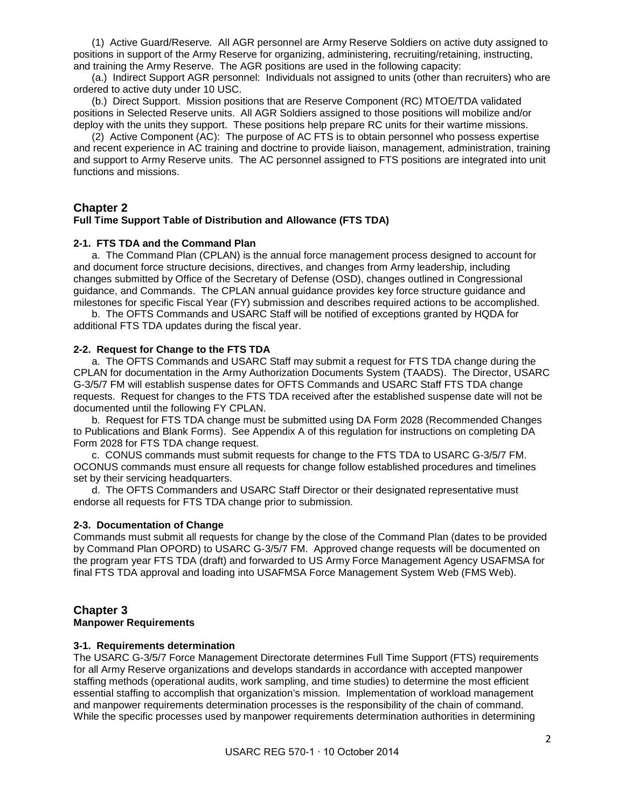(1) Active Guard/Reserve*.* All AGR personnel are Army Reserve Soldiers on active duty assigned to positions in support of the Army Reserve for organizing, administering, recruiting/retaining, instructing, and training the Army Reserve. The AGR positions are used in the following capacity:

 (a.) Indirect Support AGR personnel: Individuals not assigned to units (other than recruiters) who are ordered to active duty under 10 USC.

 (b.) Direct Support. Mission positions that are Reserve Component (RC) MTOE/TDA validated positions in Selected Reserve units. All AGR Soldiers assigned to those positions will mobilize and/or deploy with the units they support. These positions help prepare RC units for their wartime missions.

 (2) Active Component (AC): The purpose of AC FTS is to obtain personnel who possess expertise and recent experience in AC training and doctrine to provide liaison, management, administration, training and support to Army Reserve units. The AC personnel assigned to FTS positions are integrated into unit functions and missions.

#### **Chapter 2**

#### **Full Time Support Table of Distribution and Allowance (FTS TDA)**

#### **2-1. FTS TDA and the Command Plan**

 a. The Command Plan (CPLAN) is the annual force management process designed to account for and document force structure decisions, directives, and changes from Army leadership, including changes submitted by Office of the Secretary of Defense (OSD), changes outlined in Congressional guidance, and Commands. The CPLAN annual guidance provides key force structure guidance and milestones for specific Fiscal Year (FY) submission and describes required actions to be accomplished.

 b. The OFTS Commands and USARC Staff will be notified of exceptions granted by HQDA for additional FTS TDA updates during the fiscal year.

#### **2-2. Request for Change to the FTS TDA**

 a. The OFTS Commands and USARC Staff may submit a request for FTS TDA change during the CPLAN for documentation in the Army Authorization Documents System (TAADS). The Director, USARC G-3/5/7 FM will establish suspense dates for OFTS Commands and USARC Staff FTS TDA change requests. Request for changes to the FTS TDA received after the established suspense date will not be documented until the following FY CPLAN.

 b. Request for FTS TDA change must be submitted using DA Form 2028 (Recommended Changes to Publications and Blank Forms). See Appendix A of this regulation for instructions on completing DA Form 2028 for FTS TDA change request.

 c. CONUS commands must submit requests for change to the FTS TDA to USARC G-3/5/7 FM. OCONUS commands must ensure all requests for change follow established procedures and timelines set by their servicing headquarters.

 d. The OFTS Commanders and USARC Staff Director or their designated representative must endorse all requests for FTS TDA change prior to submission.

#### **2-3. Documentation of Change**

Commands must submit all requests for change by the close of the Command Plan (dates to be provided by Command Plan OPORD) to USARC G-3/5/7 FM. Approved change requests will be documented on the program year FTS TDA (draft) and forwarded to US Army Force Management Agency USAFMSA for final FTS TDA approval and loading into USAFMSA Force Management System Web (FMS Web).

#### **Chapter 3**

#### **Manpower Requirements**

#### **3-1. Requirements determination**

The USARC G-3/5/7 Force Management Directorate determines Full Time Support (FTS) requirements for all Army Reserve organizations and develops standards in accordance with accepted manpower staffing methods (operational audits, work sampling, and time studies) to determine the most efficient essential staffing to accomplish that organization's mission. Implementation of workload management and manpower requirements determination processes is the responsibility of the chain of command. While the specific processes used by manpower requirements determination authorities in determining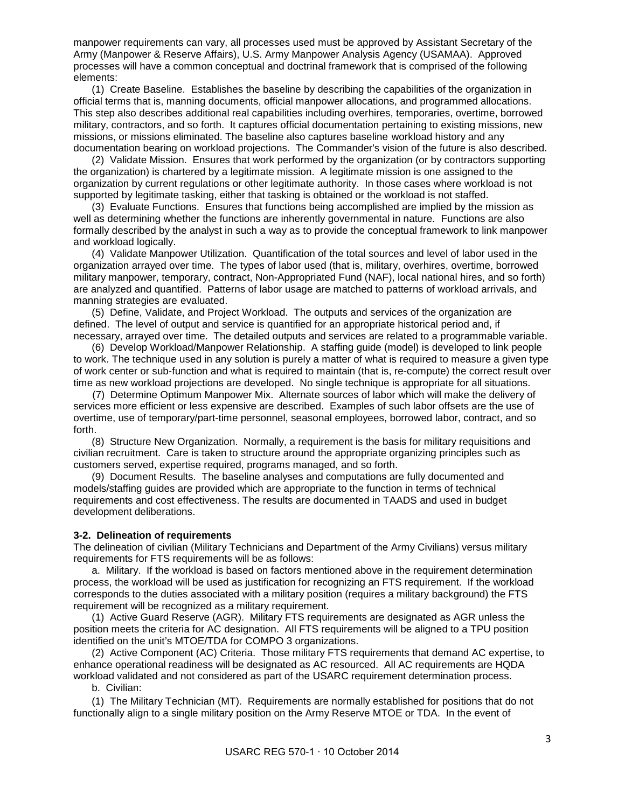manpower requirements can vary, all processes used must be approved by Assistant Secretary of the Army (Manpower & Reserve Affairs), U.S. Army Manpower Analysis Agency (USAMAA). Approved processes will have a common conceptual and doctrinal framework that is comprised of the following elements:

 (1) Create Baseline. Establishes the baseline by describing the capabilities of the organization in official terms that is, manning documents, official manpower allocations, and programmed allocations. This step also describes additional real capabilities including overhires, temporaries, overtime, borrowed military, contractors, and so forth. It captures official documentation pertaining to existing missions, new missions, or missions eliminated. The baseline also captures baseline workload history and any documentation bearing on workload projections. The Commander's vision of the future is also described.

 (2) Validate Mission. Ensures that work performed by the organization (or by contractors supporting the organization) is chartered by a legitimate mission. A legitimate mission is one assigned to the organization by current regulations or other legitimate authority. In those cases where workload is not supported by legitimate tasking, either that tasking is obtained or the workload is not staffed.

 (3) Evaluate Functions. Ensures that functions being accomplished are implied by the mission as well as determining whether the functions are inherently governmental in nature. Functions are also formally described by the analyst in such a way as to provide the conceptual framework to link manpower and workload logically.

 (4) Validate Manpower Utilization. Quantification of the total sources and level of labor used in the organization arrayed over time. The types of labor used (that is, military, overhires, overtime, borrowed military manpower, temporary, contract, Non-Appropriated Fund (NAF), local national hires, and so forth) are analyzed and quantified. Patterns of labor usage are matched to patterns of workload arrivals, and manning strategies are evaluated.

 (5) Define, Validate, and Project Workload. The outputs and services of the organization are defined. The level of output and service is quantified for an appropriate historical period and, if necessary, arrayed over time. The detailed outputs and services are related to a programmable variable.

 (6) Develop Workload/Manpower Relationship. A staffing guide (model) is developed to link people to work. The technique used in any solution is purely a matter of what is required to measure a given type of work center or sub-function and what is required to maintain (that is, re-compute) the correct result over time as new workload projections are developed. No single technique is appropriate for all situations.

 (7) Determine Optimum Manpower Mix. Alternate sources of labor which will make the delivery of services more efficient or less expensive are described. Examples of such labor offsets are the use of overtime, use of temporary/part-time personnel, seasonal employees, borrowed labor, contract, and so forth.

 (8) Structure New Organization. Normally, a requirement is the basis for military requisitions and civilian recruitment. Care is taken to structure around the appropriate organizing principles such as customers served, expertise required, programs managed, and so forth.

 (9) Document Results. The baseline analyses and computations are fully documented and models/staffing guides are provided which are appropriate to the function in terms of technical requirements and cost effectiveness. The results are documented in TAADS and used in budget development deliberations.

#### **3-2. Delineation of requirements**

The delineation of civilian (Military Technicians and Department of the Army Civilians) versus military requirements for FTS requirements will be as follows:

 a. Military. If the workload is based on factors mentioned above in the requirement determination process, the workload will be used as justification for recognizing an FTS requirement. If the workload corresponds to the duties associated with a military position (requires a military background) the FTS requirement will be recognized as a military requirement.

 (1) Active Guard Reserve (AGR). Military FTS requirements are designated as AGR unless the position meets the criteria for AC designation. All FTS requirements will be aligned to a TPU position identified on the unit's MTOE/TDA for COMPO 3 organizations.

 (2) Active Component (AC) Criteria. Those military FTS requirements that demand AC expertise, to enhance operational readiness will be designated as AC resourced. All AC requirements are HQDA workload validated and not considered as part of the USARC requirement determination process.

b. Civilian:

(1) The Military Technician (MT). Requirements are normally established for positions that do not functionally align to a single military position on the Army Reserve MTOE or TDA. In the event of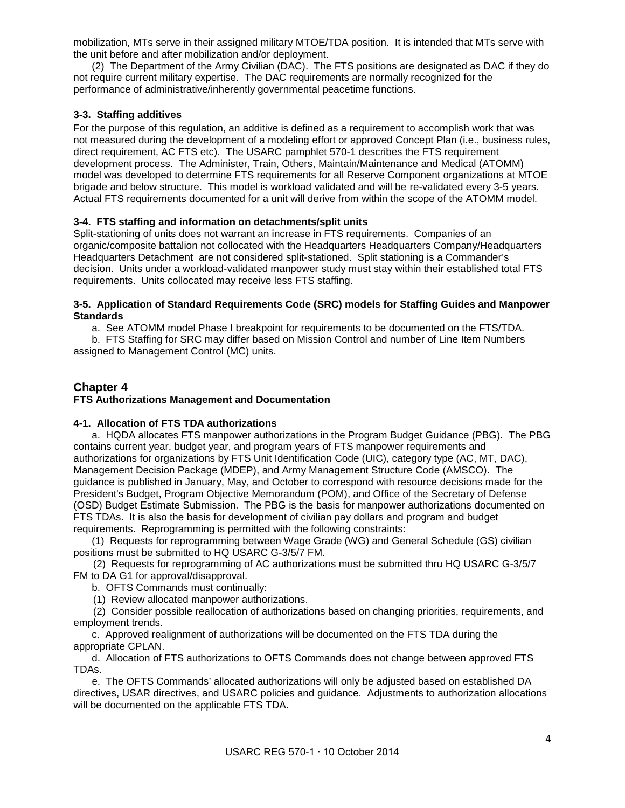mobilization, MTs serve in their assigned military MTOE/TDA position. It is intended that MTs serve with the unit before and after mobilization and/or deployment.

 (2) The Department of the Army Civilian (DAC). The FTS positions are designated as DAC if they do not require current military expertise. The DAC requirements are normally recognized for the performance of administrative/inherently governmental peacetime functions.

#### **3-3. Staffing additives**

For the purpose of this regulation, an additive is defined as a requirement to accomplish work that was not measured during the development of a modeling effort or approved Concept Plan (i.e., business rules, direct requirement, AC FTS etc). The USARC pamphlet 570-1 describes the FTS requirement development process. The Administer, Train, Others, Maintain/Maintenance and Medical (ATOMM) model was developed to determine FTS requirements for all Reserve Component organizations at MTOE brigade and below structure. This model is workload validated and will be re-validated every 3-5 years. Actual FTS requirements documented for a unit will derive from within the scope of the ATOMM model.

#### **3-4. FTS staffing and information on detachments/split units**

Split-stationing of units does not warrant an increase in FTS requirements. Companies of an organic/composite battalion not collocated with the Headquarters Headquarters Company/Headquarters Headquarters Detachment are not considered split-stationed. Split stationing is a Commander's decision. Units under a workload-validated manpower study must stay within their established total FTS requirements. Units collocated may receive less FTS staffing.

#### **3-5. Application of Standard Requirements Code (SRC) models for Staffing Guides and Manpower Standards**

a. See ATOMM model Phase I breakpoint for requirements to be documented on the FTS/TDA.

 b. FTS Staffing for SRC may differ based on Mission Control and number of Line Item Numbers assigned to Management Control (MC) units.

#### **Chapter 4**

#### **FTS Authorizations Management and Documentation**

#### **4-1. Allocation of FTS TDA authorizations**

 a. HQDA allocates FTS manpower authorizations in the Program Budget Guidance (PBG). The PBG contains current year, budget year, and program years of FTS manpower requirements and authorizations for organizations by FTS Unit Identification Code (UIC), category type (AC, MT, DAC), Management Decision Package (MDEP), and Army Management Structure Code (AMSCO). The guidance is published in January, May, and October to correspond with resource decisions made for the President's Budget, Program Objective Memorandum (POM), and Office of the Secretary of Defense (OSD) Budget Estimate Submission. The PBG is the basis for manpower authorizations documented on FTS TDAs. It is also the basis for development of civilian pay dollars and program and budget requirements. Reprogramming is permitted with the following constraints:

(1) Requests for reprogramming between Wage Grade (WG) and General Schedule (GS) civilian positions must be submitted to HQ USARC G-3/5/7 FM.

 (2) Requests for reprogramming of AC authorizations must be submitted thru HQ USARC G-3/5/7 FM to DA G1 for approval/disapproval.

b. OFTS Commands must continually:

(1) Review allocated manpower authorizations.

 (2) Consider possible reallocation of authorizations based on changing priorities, requirements, and employment trends.

 c. Approved realignment of authorizations will be documented on the FTS TDA during the appropriate CPLAN.

 d. Allocation of FTS authorizations to OFTS Commands does not change between approved FTS TDAs.

 e. The OFTS Commands' allocated authorizations will only be adjusted based on established DA directives, USAR directives, and USARC policies and guidance. Adjustments to authorization allocations will be documented on the applicable FTS TDA.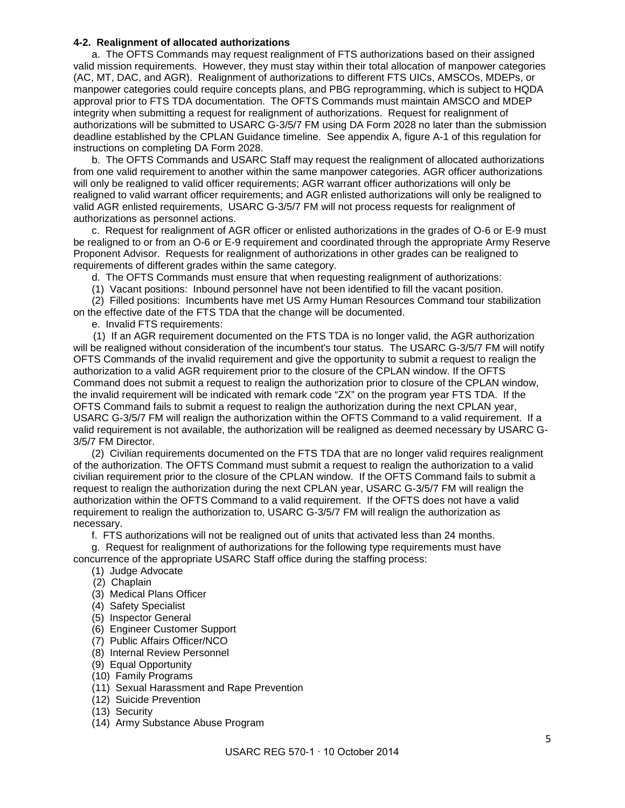#### **4-2. Realignment of allocated authorizations**

 a. The OFTS Commands may request realignment of FTS authorizations based on their assigned valid mission requirements. However, they must stay within their total allocation of manpower categories (AC, MT, DAC, and AGR). Realignment of authorizations to different FTS UICs, AMSCOs, MDEPs, or manpower categories could require concepts plans, and PBG reprogramming, which is subject to HQDA approval prior to FTS TDA documentation. The OFTS Commands must maintain AMSCO and MDEP integrity when submitting a request for realignment of authorizations. Request for realignment of authorizations will be submitted to USARC G-3/5/7 FM using DA Form 2028 no later than the submission deadline established by the CPLAN Guidance timeline. See appendix A, figure A-1 of this regulation for instructions on completing DA Form 2028.

 b. The OFTS Commands and USARC Staff may request the realignment of allocated authorizations from one valid requirement to another within the same manpower categories. AGR officer authorizations will only be realigned to valid officer requirements; AGR warrant officer authorizations will only be realigned to valid warrant officer requirements; and AGR enlisted authorizations will only be realigned to valid AGR enlisted requirements, USARC G-3/5/7 FM will not process requests for realignment of authorizations as personnel actions.

 c. Request for realignment of AGR officer or enlisted authorizations in the grades of O-6 or E-9 must be realigned to or from an O-6 or E-9 requirement and coordinated through the appropriate Army Reserve Proponent Advisor. Requests for realignment of authorizations in other grades can be realigned to requirements of different grades within the same category.

d. The OFTS Commands must ensure that when requesting realignment of authorizations:

(1) Vacant positions: Inbound personnel have not been identified to fill the vacant position.

 (2) Filled positions: Incumbents have met US Army Human Resources Command tour stabilization on the effective date of the FTS TDA that the change will be documented.

e. Invalid FTS requirements:

 (1) If an AGR requirement documented on the FTS TDA is no longer valid, the AGR authorization will be realigned without consideration of the incumbent's tour status. The USARC G-3/5/7 FM will notify OFTS Commands of the invalid requirement and give the opportunity to submit a request to realign the authorization to a valid AGR requirement prior to the closure of the CPLAN window. If the OFTS Command does not submit a request to realign the authorization prior to closure of the CPLAN window, the invalid requirement will be indicated with remark code "ZX" on the program year FTS TDA. If the OFTS Command fails to submit a request to realign the authorization during the next CPLAN year, USARC G-3/5/7 FM will realign the authorization within the OFTS Command to a valid requirement. If a valid requirement is not available, the authorization will be realigned as deemed necessary by USARC G-3/5/7 FM Director.

 (2) Civilian requirements documented on the FTS TDA that are no longer valid requires realignment of the authorization. The OFTS Command must submit a request to realign the authorization to a valid civilian requirement prior to the closure of the CPLAN window. If the OFTS Command fails to submit a request to realign the authorization during the next CPLAN year, USARC G-3/5/7 FM will realign the authorization within the OFTS Command to a valid requirement. If the OFTS does not have a valid requirement to realign the authorization to, USARC G-3/5/7 FM will realign the authorization as necessary.

f. FTS authorizations will not be realigned out of units that activated less than 24 months.

g. Request for realignment of authorizations for the following type requirements must have concurrence of the appropriate USARC Staff office during the staffing process:

(1) Judge Advocate

- (2) Chaplain
- (3) Medical Plans Officer
- (4) Safety Specialist
- (5) Inspector General
- (6) Engineer Customer Support
- (7) Public Affairs Officer/NCO
- (8) Internal Review Personnel
- (9) Equal Opportunity
- (10) Family Programs
- (11) Sexual Harassment and Rape Prevention
- (12) Suicide Prevention
- (13) Security
- (14) Army Substance Abuse Program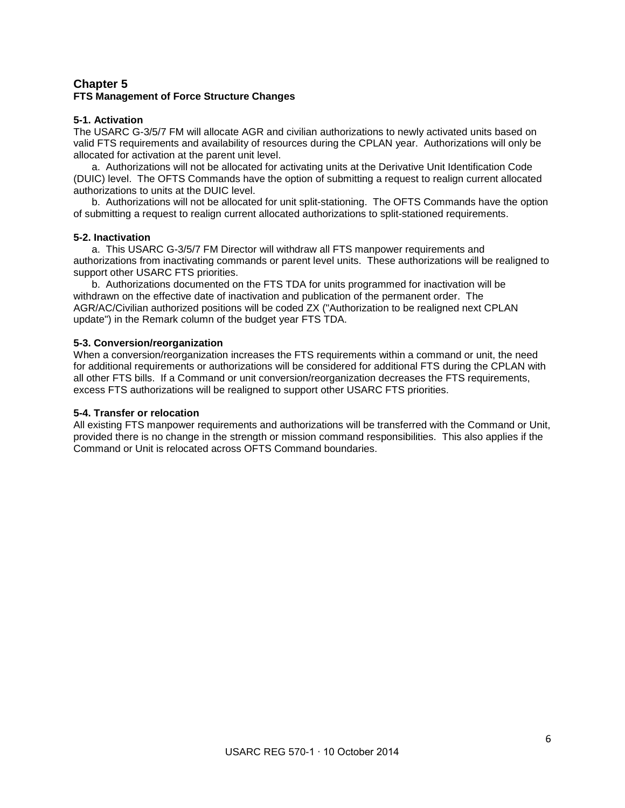#### **Chapter 5 FTS Management of Force Structure Changes**

#### **5-1. Activation**

The USARC G-3/5/7 FM will allocate AGR and civilian authorizations to newly activated units based on valid FTS requirements and availability of resources during the CPLAN year. Authorizations will only be allocated for activation at the parent unit level.

 a. Authorizations will not be allocated for activating units at the Derivative Unit Identification Code (DUIC) level. The OFTS Commands have the option of submitting a request to realign current allocated authorizations to units at the DUIC level.

 b. Authorizations will not be allocated for unit split-stationing. The OFTS Commands have the option of submitting a request to realign current allocated authorizations to split-stationed requirements.

#### **5-2. Inactivation**

 a. This USARC G-3/5/7 FM Director will withdraw all FTS manpower requirements and authorizations from inactivating commands or parent level units. These authorizations will be realigned to support other USARC FTS priorities.

 b. Authorizations documented on the FTS TDA for units programmed for inactivation will be withdrawn on the effective date of inactivation and publication of the permanent order. The AGR/AC/Civilian authorized positions will be coded ZX ("Authorization to be realigned next CPLAN update") in the Remark column of the budget year FTS TDA.

#### **5-3. Conversion/reorganization**

When a conversion/reorganization increases the FTS requirements within a command or unit, the need for additional requirements or authorizations will be considered for additional FTS during the CPLAN with all other FTS bills. If a Command or unit conversion/reorganization decreases the FTS requirements, excess FTS authorizations will be realigned to support other USARC FTS priorities.

#### **5-4. Transfer or relocation**

All existing FTS manpower requirements and authorizations will be transferred with the Command or Unit, provided there is no change in the strength or mission command responsibilities. This also applies if the Command or Unit is relocated across OFTS Command boundaries.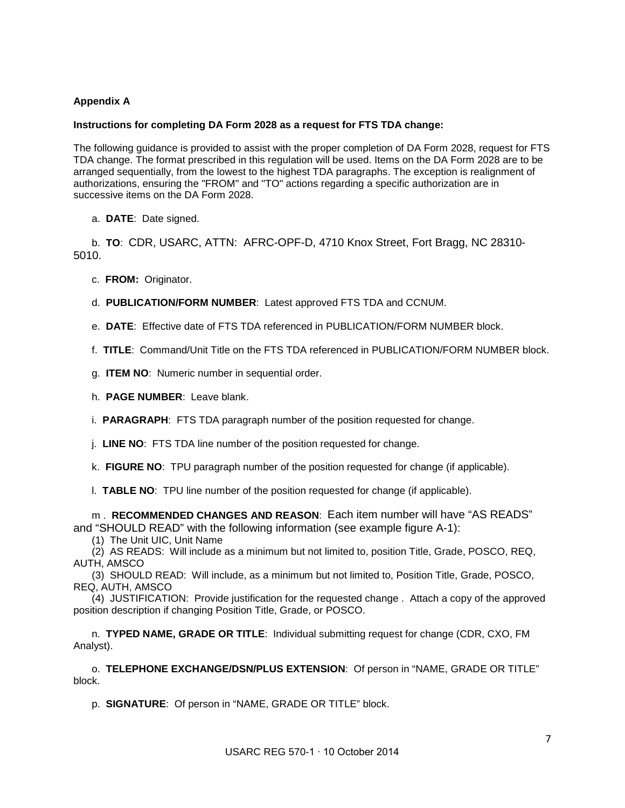#### **Appendix A**

#### **Instructions for completing DA Form 2028 as a request for FTS TDA change:**

The following guidance is provided to assist with the proper completion of DA Form 2028, request for FTS TDA change. The format prescribed in this regulation will be used. Items on the DA Form 2028 are to be arranged sequentially, from the lowest to the highest TDA paragraphs. The exception is realignment of authorizations, ensuring the "FROM" and "TO" actions regarding a specific authorization are in successive items on the DA Form 2028.

a. **DATE**: Date signed.

b. **TO**: CDR, USARC, ATTN: AFRC-OPF-D, 4710 Knox Street, Fort Bragg, NC 28310- 5010.

c. **FROM:** Originator.

d. **PUBLICATION/FORM NUMBER**: Latest approved FTS TDA and CCNUM.

e. **DATE**: Effective date of FTS TDA referenced in PUBLICATION/FORM NUMBER block.

f. **TITLE**: Command/Unit Title on the FTS TDA referenced in PUBLICATION/FORM NUMBER block.

g. **ITEM NO**: Numeric number in sequential order.

h. **PAGE NUMBER**: Leave blank.

i. **PARAGRAPH**: FTS TDA paragraph number of the position requested for change.

j. **LINE NO**: FTS TDA line number of the position requested for change.

k. **FIGURE NO**: TPU paragraph number of the position requested for change (if applicable).

l. **TABLE NO**: TPU line number of the position requested for change (if applicable).

m . **RECOMMENDED CHANGES AND REASON**: Each item number will have "AS READS" and "SHOULD READ" with the following information (see example figure A-1):

(1) The Unit UIC, Unit Name

 (2) AS READS: Will include as a minimum but not limited to, position Title, Grade, POSCO, REQ, AUTH, AMSCO

 (3) SHOULD READ: Will include, as a minimum but not limited to, Position Title, Grade, POSCO, REQ, AUTH, AMSCO

(4) JUSTIFICATION: Provide justification for the requested change . Attach a copy of the approved position description if changing Position Title, Grade, or POSCO.

n. **TYPED NAME, GRADE OR TITLE**: Individual submitting request for change (CDR, CXO, FM Analyst).

o. **TELEPHONE EXCHANGE/DSN/PLUS EXTENSION**: Of person in "NAME, GRADE OR TITLE" block.

p. **SIGNATURE**: Of person in "NAME, GRADE OR TITLE" block.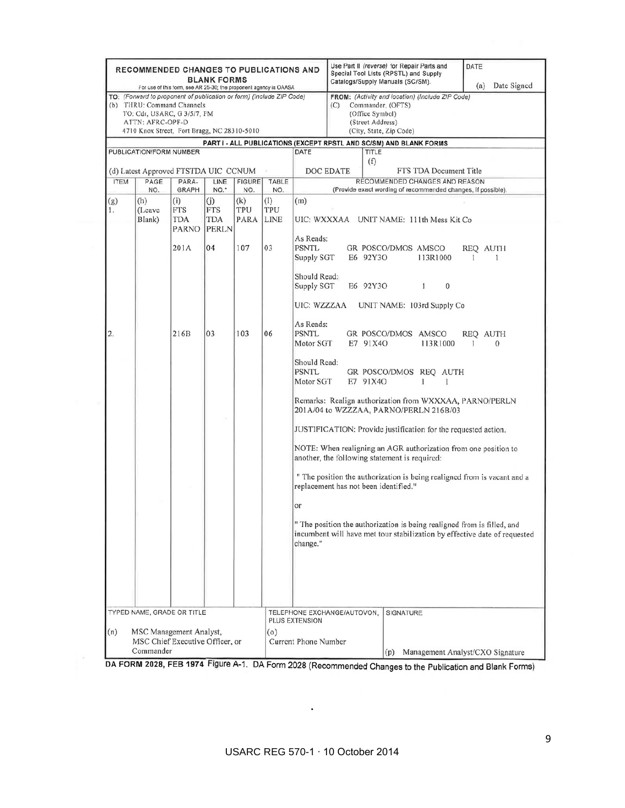|                                                                                | <b>RECOMMENDED CHANGES TO PUBLICATIONS AND</b>                                                                                                                                                              | For use of this form, see AR 25-30; the proponent agency is OAASA | <b>BLANK FORMS</b>                |                         |            |                                                                    | Use Part II (reverse) for Repair Parts and<br>Special Tool Lists (RPSTL) and Supply<br>Catalogs/Supply Manuals (SC/SM).                        |                                                                                                                                                      | DATE<br>Date Signed<br>(a)       |
|--------------------------------------------------------------------------------|-------------------------------------------------------------------------------------------------------------------------------------------------------------------------------------------------------------|-------------------------------------------------------------------|-----------------------------------|-------------------------|------------|--------------------------------------------------------------------|------------------------------------------------------------------------------------------------------------------------------------------------|------------------------------------------------------------------------------------------------------------------------------------------------------|----------------------------------|
|                                                                                | TO: (Forward to proponent of publication or form) (Include ZIP Code)<br>(b) THRU: Command Channels<br>TO: Cdr, USARC, G 3/5/7, FM<br><b>ATTN: AFRC-OPF-D</b><br>4710 Knox Street, Fort Bragg, NC 28310-5010 |                                                                   |                                   |                         |            |                                                                    | FROM: (Activity and location) (Include ZIP Code)<br>Commander, (OFTS)<br>(C)<br>(Office Symbol)<br>(Street Address)<br>(City, State, Zip Code) |                                                                                                                                                      |                                  |
|                                                                                |                                                                                                                                                                                                             |                                                                   |                                   |                         |            | PART I - ALL PUBLICATIONS (EXCEPT RPSTL AND SC/SM) AND BLANK FORMS |                                                                                                                                                |                                                                                                                                                      |                                  |
| PUBLICATION/FORM NUMBER<br>(d) Latest Approved FTSTDA UIC CCNUM                |                                                                                                                                                                                                             |                                                                   |                                   |                         |            | TITLE<br>DATE<br>(f)<br><b>DOC EDATE</b><br>FTS TDA Document Title |                                                                                                                                                |                                                                                                                                                      |                                  |
| <b>ITEM</b>                                                                    | PAGE                                                                                                                                                                                                        | PARA-                                                             | LINE                              | <b>FIGURE</b>           | TABLE      | RECOMMENDED CHANGES AND REASON                                     |                                                                                                                                                |                                                                                                                                                      |                                  |
|                                                                                | NO.                                                                                                                                                                                                         | <b>GRAPH</b>                                                      | NO.*                              | NO.                     | NO.        |                                                                    |                                                                                                                                                | (Provide exact wording of recommended changes, if possible).                                                                                         |                                  |
| (g)<br>1.                                                                      | (h)<br>(Leave<br>Blank)                                                                                                                                                                                     | (i)<br>FTS<br>TDA<br>PARNO                                        | (j)<br>FTS<br>TDA<br><b>PERLN</b> | (k)<br>TPU<br>PARA LINE | (1)<br>TPU | (m)                                                                |                                                                                                                                                | UIC: WXXXAA UNIT NAME: 111th Mess Kit Co                                                                                                             |                                  |
|                                                                                |                                                                                                                                                                                                             | 201A                                                              | 04                                | 107                     | 03         | As Reads:<br><b>PSNTL</b><br>Supply SGT                            |                                                                                                                                                | GR POSCO/DMOS AMSCO<br>E6 92Y3O<br>113R1000                                                                                                          | REQ AUTH<br>1                    |
|                                                                                |                                                                                                                                                                                                             |                                                                   |                                   |                         |            | Should Read:<br>Supply SGT<br>UIC: WZZZAA                          |                                                                                                                                                | E6 92Y3O<br>$\bf{0}$<br>1<br>UNIT NAME: 103rd Supply Co.                                                                                             |                                  |
| 2.                                                                             |                                                                                                                                                                                                             | 216B                                                              | 03                                | 103                     | 06         | As Reads:<br><b>PSNTL</b><br>Motor SGT                             |                                                                                                                                                | GR POSCO/DMOS AMSCO<br>E7 91X40<br>113R1000                                                                                                          | REQ AUTH<br>1<br>$\Omega$        |
|                                                                                |                                                                                                                                                                                                             |                                                                   |                                   |                         |            | Should Read:<br><b>PSNTL</b><br>Motor SGT                          |                                                                                                                                                | GR POSCO/DMOS REQ AUTH<br>E7 91X4O<br>1<br>1                                                                                                         |                                  |
|                                                                                |                                                                                                                                                                                                             |                                                                   |                                   |                         |            |                                                                    |                                                                                                                                                | Remarks: Realign authorization from WXXXAA, PARNO/PERLN<br>201A/04 to WZZZAA, PARNO/PERLN 216B/03                                                    |                                  |
|                                                                                |                                                                                                                                                                                                             |                                                                   |                                   |                         |            |                                                                    |                                                                                                                                                | JUSTIFICATION: Provide justification for the requested action.                                                                                       |                                  |
|                                                                                |                                                                                                                                                                                                             |                                                                   |                                   |                         |            |                                                                    |                                                                                                                                                | NOTE: When realigning an AGR authorization from one position to<br>another, the following statement is required:                                     |                                  |
|                                                                                |                                                                                                                                                                                                             |                                                                   |                                   |                         |            |                                                                    |                                                                                                                                                | " The position the authorization is being realigned from is vacant and a<br>replacement has not been identified."                                    |                                  |
|                                                                                |                                                                                                                                                                                                             |                                                                   |                                   |                         |            | or                                                                 |                                                                                                                                                |                                                                                                                                                      |                                  |
|                                                                                |                                                                                                                                                                                                             |                                                                   |                                   |                         |            | change."                                                           |                                                                                                                                                | " The position the authorization is being realigned from is filled, and<br>incumbent will have met tour stabilization by effective date of requested |                                  |
|                                                                                |                                                                                                                                                                                                             |                                                                   |                                   |                         |            |                                                                    |                                                                                                                                                |                                                                                                                                                      |                                  |
| TYPED NAME, GRADE OR TITLE                                                     |                                                                                                                                                                                                             |                                                                   |                                   |                         |            | TELEPHONE EXCHANGE/AUTOVON,<br><b>PLUS EXTENSION</b>               |                                                                                                                                                | SIGNATURE                                                                                                                                            |                                  |
| (n)<br>MSC Management Analyst,<br>MSC Chief Executive Officer, or<br>Commander |                                                                                                                                                                                                             |                                                                   |                                   |                         | (0)        | Current Phone Number                                               |                                                                                                                                                | (p)                                                                                                                                                  | Management Analyst/CXO Signature |

DA FORM 2028, FEB 1974 Figure A-1. DA Form 2028 (Recommended Changes to the Publication and Blank Forms)

**.**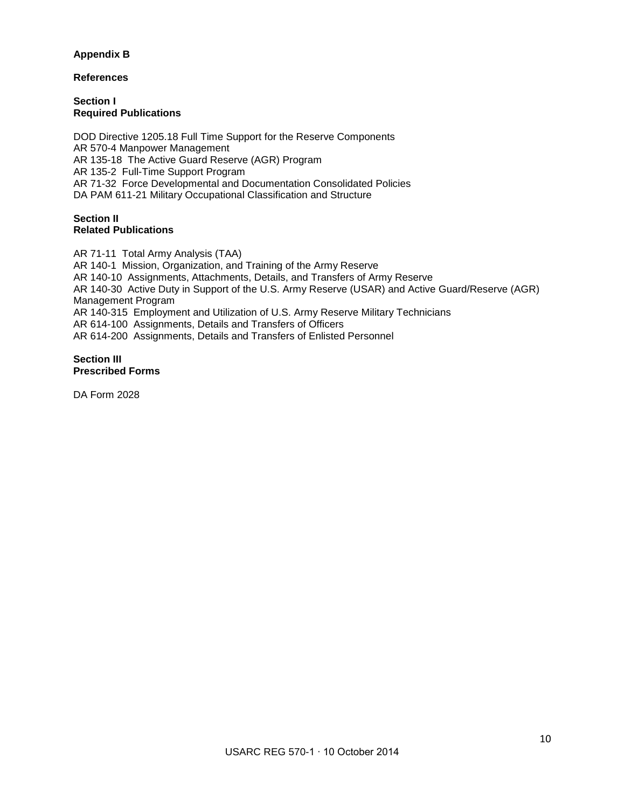#### **Appendix B**

#### **References**

**Section I Required Publications**

DOD Directive 1205.18 Full Time Support for the Reserve Components AR 570-4 Manpower Management AR 135-18 The Active Guard Reserve (AGR) Program AR 135-2 Full-Time Support Program AR 71-32 Force Developmental and Documentation Consolidated Policies DA PAM 611-21 Military Occupational Classification and Structure

#### **Section II Related Publications**

AR 71-11 Total Army Analysis (TAA) AR 140-1 Mission, Organization, and Training of the Army Reserve AR 140-10 Assignments, Attachments, Details, and Transfers of Army Reserve AR 140-30 Active Duty in Support of the U.S. Army Reserve (USAR) and Active Guard/Reserve (AGR) Management Program AR 140-315 Employment and Utilization of U.S. Army Reserve Military Technicians AR 614-100 Assignments, Details and Transfers of Officers AR 614-200 Assignments, Details and Transfers of Enlisted Personnel

#### **Section III Prescribed Forms**

DA Form 2028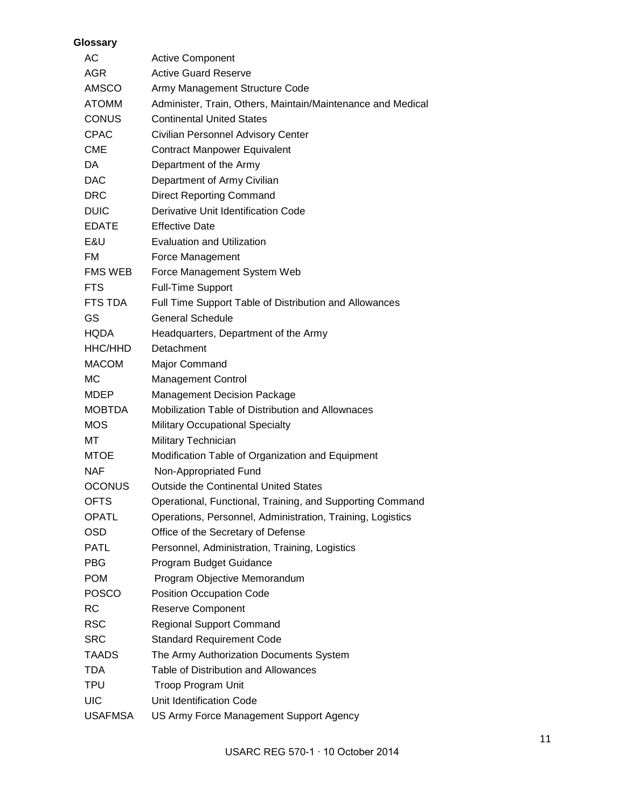| Glossary       |                                                             |
|----------------|-------------------------------------------------------------|
| AC             | <b>Active Component</b>                                     |
| <b>AGR</b>     | <b>Active Guard Reserve</b>                                 |
| <b>AMSCO</b>   | Army Management Structure Code                              |
| <b>ATOMM</b>   | Administer, Train, Others, Maintain/Maintenance and Medical |
| <b>CONUS</b>   | <b>Continental United States</b>                            |
| <b>CPAC</b>    | Civilian Personnel Advisory Center                          |
| <b>CME</b>     | <b>Contract Manpower Equivalent</b>                         |
| DA.            | Department of the Army                                      |
| <b>DAC</b>     | Department of Army Civilian                                 |
| <b>DRC</b>     | <b>Direct Reporting Command</b>                             |
| <b>DUIC</b>    | Derivative Unit Identification Code                         |
| <b>EDATE</b>   | <b>Effective Date</b>                                       |
| E&U            | <b>Evaluation and Utilization</b>                           |
| FM             | Force Management                                            |
| FMS WEB        | Force Management System Web                                 |
| <b>FTS</b>     | <b>Full-Time Support</b>                                    |
| FTS TDA        | Full Time Support Table of Distribution and Allowances      |
| GS             | <b>General Schedule</b>                                     |
| <b>HQDA</b>    | Headquarters, Department of the Army                        |
| HHC/HHD        | Detachment                                                  |
| <b>MACOM</b>   | Major Command                                               |
| <b>MC</b>      | <b>Management Control</b>                                   |
| MDEP           | Management Decision Package                                 |
| <b>MOBTDA</b>  | Mobilization Table of Distribution and Allownaces           |
| <b>MOS</b>     | <b>Military Occupational Specialty</b>                      |
| МT             | Military Technician                                         |
| MTOE.          | Modification Table of Organization and Equipment            |
| <b>NAF</b>     | Non-Appropriated Fund                                       |
| <b>OCONUS</b>  | <b>Outside the Continental United States</b>                |
| <b>OFTS</b>    | Operational, Functional, Training, and Supporting Command   |
| <b>OPATL</b>   | Operations, Personnel, Administration, Training, Logistics  |
| <b>OSD</b>     | Office of the Secretary of Defense                          |
| <b>PATL</b>    | Personnel, Administration, Training, Logistics              |
| <b>PBG</b>     | Program Budget Guidance                                     |
| <b>POM</b>     | Program Objective Memorandum                                |
| <b>POSCO</b>   | <b>Position Occupation Code</b>                             |
| <b>RC</b>      | <b>Reserve Component</b>                                    |
| <b>RSC</b>     | <b>Regional Support Command</b>                             |
| <b>SRC</b>     | <b>Standard Requirement Code</b>                            |
| <b>TAADS</b>   | The Army Authorization Documents System                     |
| <b>TDA</b>     | Table of Distribution and Allowances                        |
| TPU            | Troop Program Unit                                          |
| <b>UIC</b>     | Unit Identification Code                                    |
| <b>USAFMSA</b> | US Army Force Management Support Agency                     |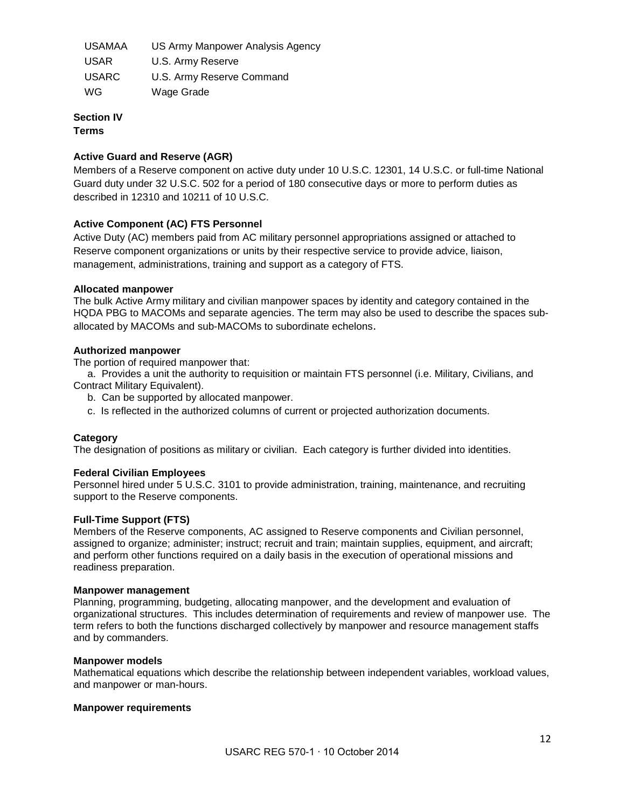| <b>USAMAA</b> | US Army Manpower Analysis Agency |
|---------------|----------------------------------|
| <b>USAR</b>   | U.S. Army Reserve                |
| <b>USARC</b>  | U.S. Army Reserve Command        |
| WG            | Wage Grade                       |

#### **Section IV Terms**

#### **Active Guard and Reserve (AGR)**

Members of a Reserve component on active duty under 10 U.S.C. 12301, 14 U.S.C. or full-time National Guard duty under 32 U.S.C. 502 for a period of 180 consecutive days or more to perform duties as described in 12310 and 10211 of 10 U.S.C.

#### **Active Component (AC) FTS Personnel**

Active Duty (AC) members paid from AC military personnel appropriations assigned or attached to Reserve component organizations or units by their respective service to provide advice, liaison, management, administrations, training and support as a category of FTS.

#### **Allocated manpower**

The bulk Active Army military and civilian manpower spaces by identity and category contained in the HQDA PBG to MACOMs and separate agencies. The term may also be used to describe the spaces suballocated by MACOMs and sub-MACOMs to subordinate echelons.

#### **Authorized manpower**

The portion of required manpower that:

 a. Provides a unit the authority to requisition or maintain FTS personnel (i.e. Military, Civilians, and Contract Military Equivalent).

- b. Can be supported by allocated manpower.
- c. Is reflected in the authorized columns of current or projected authorization documents.

#### **Category**

The designation of positions as military or civilian. Each category is further divided into identities.

#### **Federal Civilian Employees**

Personnel hired under 5 U.S.C. 3101 to provide administration, training, maintenance, and recruiting support to the Reserve components.

#### **Full-Time Support (FTS)**

Members of the Reserve components, AC assigned to Reserve components and Civilian personnel, assigned to organize; administer; instruct; recruit and train; maintain supplies, equipment, and aircraft; and perform other functions required on a daily basis in the execution of operational missions and readiness preparation.

#### **Manpower management**

Planning, programming, budgeting, allocating manpower, and the development and evaluation of organizational structures. This includes determination of requirements and review of manpower use. The term refers to both the functions discharged collectively by manpower and resource management staffs and by commanders.

#### **Manpower models**

Mathematical equations which describe the relationship between independent variables, workload values, and manpower or man-hours.

#### **Manpower requirements**